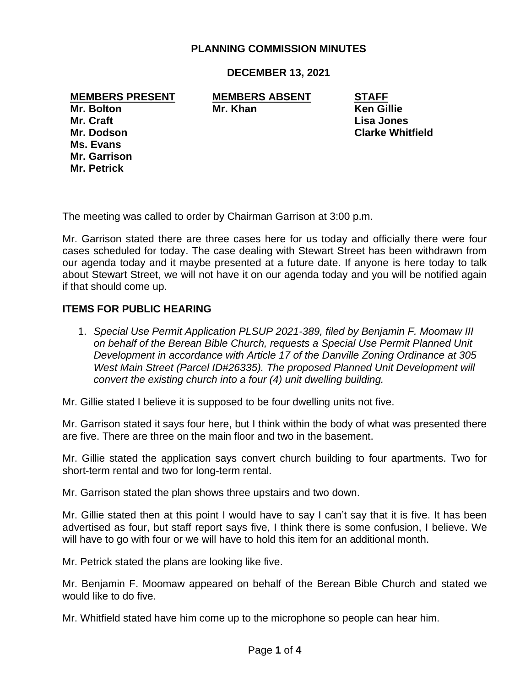# **PLANNING COMMISSION MINUTES**

**DECEMBER 13, 2021**

**MEMBERS PRESENT MEMBERS ABSENT STAFF**

**Mr. Bolton Mr. Khan Ken Gillie**

**Mr. Craft Lisa Jones Ms. Evans Mr. Garrison Mr. Petrick**

**Mr. Dodson Clarke Whitfield**

The meeting was called to order by Chairman Garrison at 3:00 p.m.

Mr. Garrison stated there are three cases here for us today and officially there were four cases scheduled for today. The case dealing with Stewart Street has been withdrawn from our agenda today and it maybe presented at a future date. If anyone is here today to talk about Stewart Street, we will not have it on our agenda today and you will be notified again if that should come up.

### **ITEMS FOR PUBLIC HEARING**

1. *Special Use Permit Application PLSUP 2021-389, filed by Benjamin F. Moomaw III on behalf of the Berean Bible Church, requests a Special Use Permit Planned Unit Development in accordance with Article 17 of the Danville Zoning Ordinance at 305 West Main Street (Parcel ID#26335). The proposed Planned Unit Development will convert the existing church into a four (4) unit dwelling building.*

Mr. Gillie stated I believe it is supposed to be four dwelling units not five.

Mr. Garrison stated it says four here, but I think within the body of what was presented there are five. There are three on the main floor and two in the basement.

Mr. Gillie stated the application says convert church building to four apartments. Two for short-term rental and two for long-term rental.

Mr. Garrison stated the plan shows three upstairs and two down.

Mr. Gillie stated then at this point I would have to say I can't say that it is five. It has been advertised as four, but staff report says five, I think there is some confusion, I believe. We will have to go with four or we will have to hold this item for an additional month.

Mr. Petrick stated the plans are looking like five.

Mr. Benjamin F. Moomaw appeared on behalf of the Berean Bible Church and stated we would like to do five.

Mr. Whitfield stated have him come up to the microphone so people can hear him.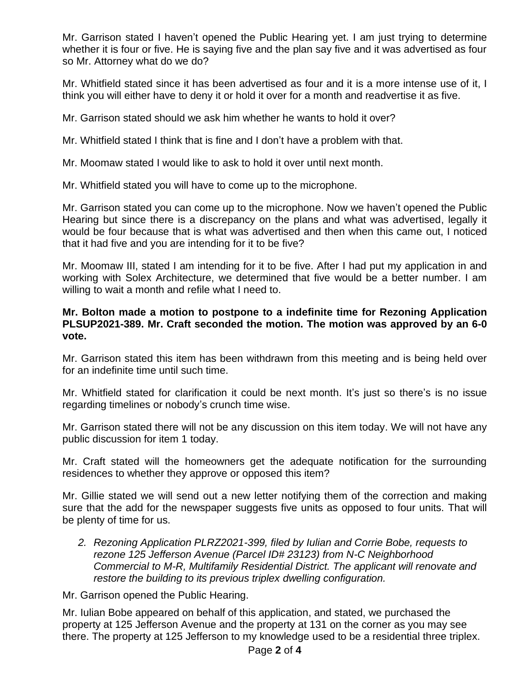Mr. Garrison stated I haven't opened the Public Hearing yet. I am just trying to determine whether it is four or five. He is saying five and the plan say five and it was advertised as four so Mr. Attorney what do we do?

Mr. Whitfield stated since it has been advertised as four and it is a more intense use of it, I think you will either have to deny it or hold it over for a month and readvertise it as five.

Mr. Garrison stated should we ask him whether he wants to hold it over?

Mr. Whitfield stated I think that is fine and I don't have a problem with that.

Mr. Moomaw stated I would like to ask to hold it over until next month.

Mr. Whitfield stated you will have to come up to the microphone.

Mr. Garrison stated you can come up to the microphone. Now we haven't opened the Public Hearing but since there is a discrepancy on the plans and what was advertised, legally it would be four because that is what was advertised and then when this came out, I noticed that it had five and you are intending for it to be five?

Mr. Moomaw III, stated I am intending for it to be five. After I had put my application in and working with Solex Architecture, we determined that five would be a better number. I am willing to wait a month and refile what I need to.

# **Mr. Bolton made a motion to postpone to a indefinite time for Rezoning Application PLSUP2021-389. Mr. Craft seconded the motion. The motion was approved by an 6-0 vote.**

Mr. Garrison stated this item has been withdrawn from this meeting and is being held over for an indefinite time until such time.

Mr. Whitfield stated for clarification it could be next month. It's just so there's is no issue regarding timelines or nobody's crunch time wise.

Mr. Garrison stated there will not be any discussion on this item today. We will not have any public discussion for item 1 today.

Mr. Craft stated will the homeowners get the adequate notification for the surrounding residences to whether they approve or opposed this item?

Mr. Gillie stated we will send out a new letter notifying them of the correction and making sure that the add for the newspaper suggests five units as opposed to four units. That will be plenty of time for us.

*2. Rezoning Application PLRZ2021-399, filed by Iulian and Corrie Bobe, requests to rezone 125 Jefferson Avenue (Parcel ID# 23123) from N-C Neighborhood Commercial to M-R, Multifamily Residential District. The applicant will renovate and restore the building to its previous triplex dwelling configuration.*

Mr. Garrison opened the Public Hearing.

Mr. Iulian Bobe appeared on behalf of this application, and stated, we purchased the property at 125 Jefferson Avenue and the property at 131 on the corner as you may see there. The property at 125 Jefferson to my knowledge used to be a residential three triplex.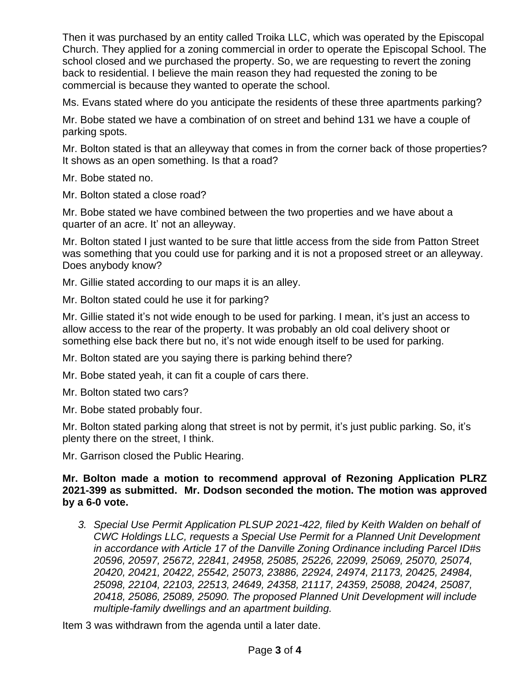Then it was purchased by an entity called Troika LLC, which was operated by the Episcopal Church. They applied for a zoning commercial in order to operate the Episcopal School. The school closed and we purchased the property. So, we are requesting to revert the zoning back to residential. I believe the main reason they had requested the zoning to be commercial is because they wanted to operate the school.

Ms. Evans stated where do you anticipate the residents of these three apartments parking?

Mr. Bobe stated we have a combination of on street and behind 131 we have a couple of parking spots.

Mr. Bolton stated is that an alleyway that comes in from the corner back of those properties? It shows as an open something. Is that a road?

Mr. Bobe stated no.

Mr. Bolton stated a close road?

Mr. Bobe stated we have combined between the two properties and we have about a quarter of an acre. It' not an alleyway.

Mr. Bolton stated I just wanted to be sure that little access from the side from Patton Street was something that you could use for parking and it is not a proposed street or an alleyway. Does anybody know?

Mr. Gillie stated according to our maps it is an alley.

Mr. Bolton stated could he use it for parking?

Mr. Gillie stated it's not wide enough to be used for parking. I mean, it's just an access to allow access to the rear of the property. It was probably an old coal delivery shoot or something else back there but no, it's not wide enough itself to be used for parking.

Mr. Bolton stated are you saying there is parking behind there?

Mr. Bobe stated yeah, it can fit a couple of cars there.

Mr. Bolton stated two cars?

Mr. Bobe stated probably four.

Mr. Bolton stated parking along that street is not by permit, it's just public parking. So, it's plenty there on the street, I think.

Mr. Garrison closed the Public Hearing.

## **Mr. Bolton made a motion to recommend approval of Rezoning Application PLRZ 2021-399 as submitted. Mr. Dodson seconded the motion. The motion was approved by a 6-0 vote.**

*3. Special Use Permit Application PLSUP 2021-422, filed by Keith Walden on behalf of CWC Holdings LLC, requests a Special Use Permit for a Planned Unit Development in accordance with Article 17 of the Danville Zoning Ordinance including Parcel ID#s 20596, 20597, 25672, 22841, 24958, 25085, 25226, 22099, 25069, 25070, 25074, 20420, 20421, 20422, 25542, 25073, 23886, 22924, 24974, 21173, 20425, 24984, 25098, 22104, 22103, 22513, 24649, 24358, 21117, 24359, 25088, 20424, 25087, 20418, 25086, 25089, 25090. The proposed Planned Unit Development will include multiple-family dwellings and an apartment building.*

Item 3 was withdrawn from the agenda until a later date.